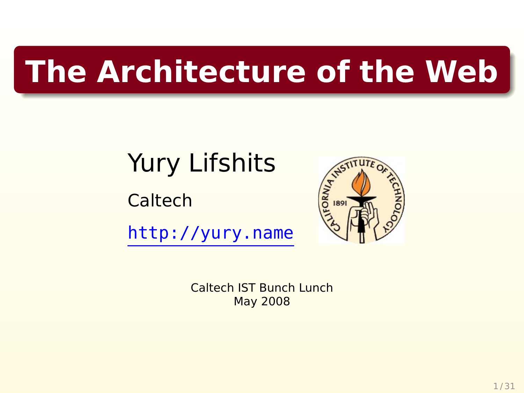### **The Architecture of the Web**

Yury Lifshits

Caltech

<http://yury.name>



Caltech IST Bunch Lunch May 2008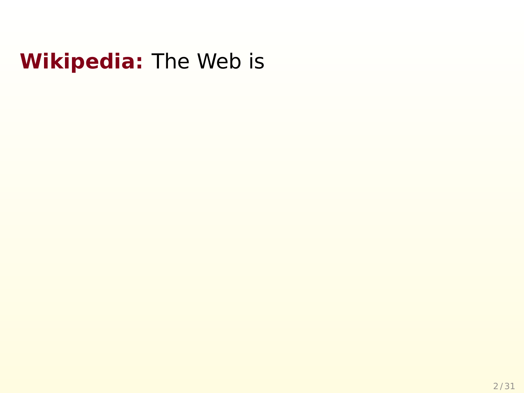#### **Wikipedia:** The Web is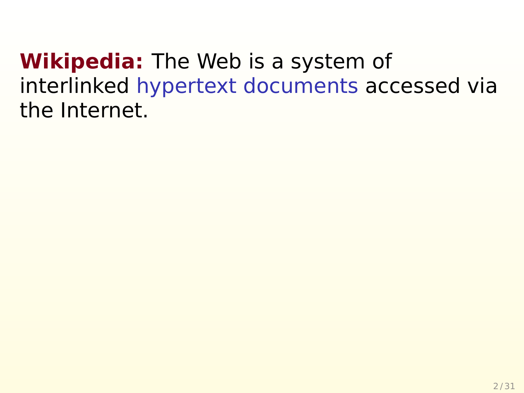**Wikipedia:** The Web is a system of interlinked hypertext documents accessed via the Internet.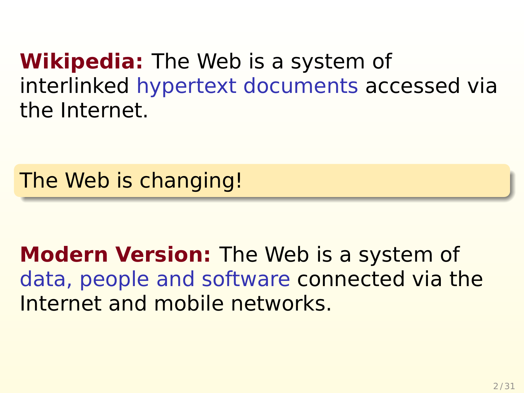**Wikipedia:** The Web is a system of interlinked hypertext documents accessed via the Internet.

The Web is changing!

**Modern Version:** The Web is a system of data, people and software connected via the Internet and mobile networks.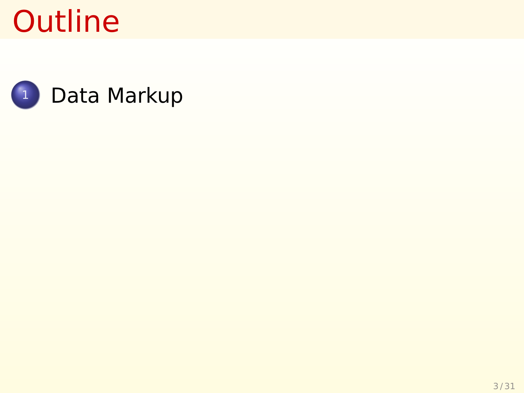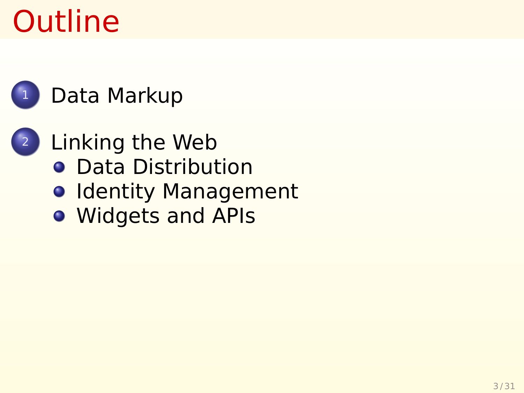- <sup>2</sup> [Linking the Web](#page-15-0)
	- **[Data Distribution](#page-18-0)**
	- **[Identity Management](#page-23-0)**
	- o [Widgets and APIs](#page-25-0)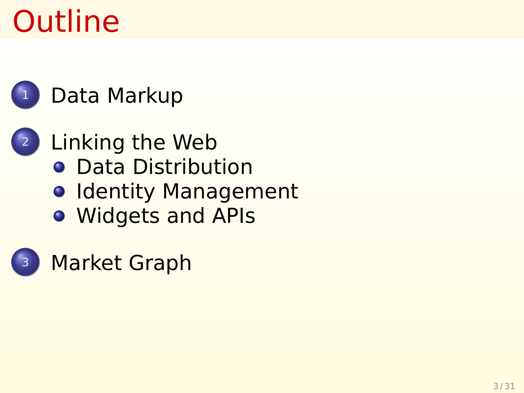- <sup>2</sup> [Linking the Web](#page-15-0)
	- **[Data Distribution](#page-18-0)**
	- **[Identity Management](#page-23-0)**
	- o [Widgets and APIs](#page-25-0)

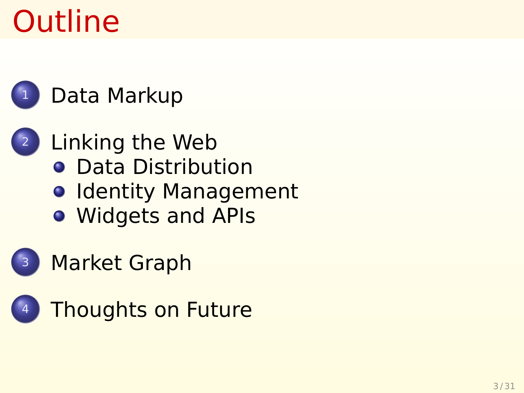- <sup>2</sup> [Linking the Web](#page-15-0)
	- **[Data Distribution](#page-18-0)**
	- **[Identity Management](#page-23-0)**
	- [Widgets and APIs](#page-25-0)
	- **[Market Graph](#page-28-0)**

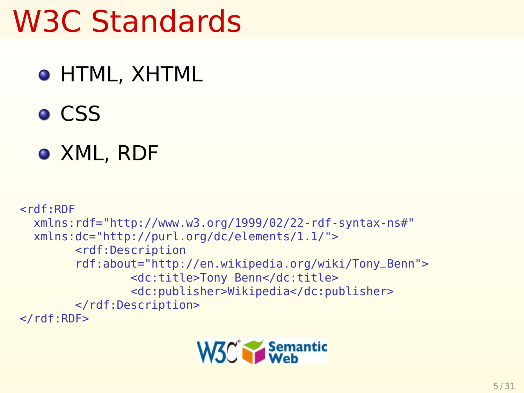### W3C Standards

- HTML, XHTML
- **o** CSS
- XML, RDF

```
<rdf:RDF
  xmlns:rdf="http://www.w3.org/1999/02/22-rdf-syntax-ns#"
  xmlns:dc="http://purl.org/dc/elements/1.1/">
        <rdf:Description
        rdf:about="http://en.wikipedia.org/wiki/Tony_Benn">
                <dc:title>Tony Benn</dc:title>
                <dc:publisher>Wikipedia</dc:publisher>
        </rdf:Description>
</rdf:RDF>
```
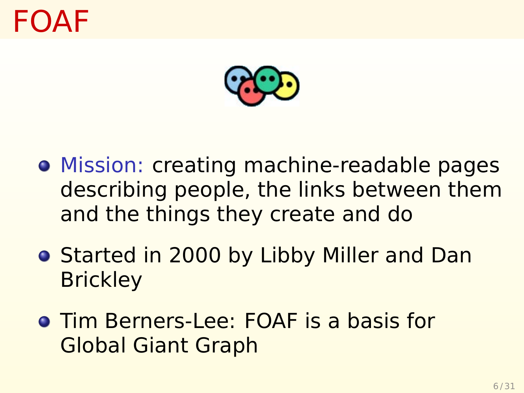### FOAF



- **•** Mission: creating machine-readable pages describing people, the links between them and the things they create and do
- **Started in 2000 by Libby Miller and Dan Brickley**
- **Tim Berners-Lee: FOAF is a basis for** Global Giant Graph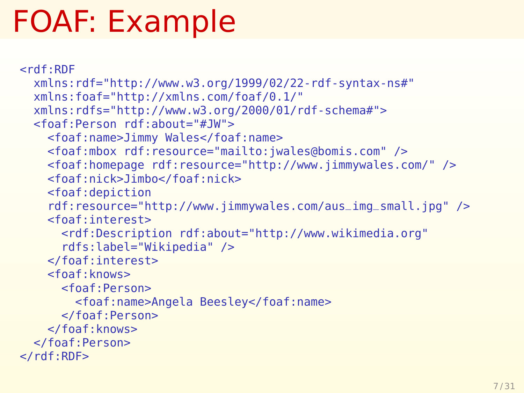### FOAF: Example

```
<rdf:RDF
  xmlns:rdf="http://www.w3.org/1999/02/22-rdf-syntax-ns#"
  xmlns:foaf="http://xmlns.com/foaf/0.1/"
  xmlns:rdfs="http://www.w3.org/2000/01/rdf-schema#">
  <foaf:Person rdf:about="#JW">
    <foaf:name>Jimmy Wales</foaf:name>
    <foaf:mbox rdf:resource="mailto:jwales@bomis.com" />
    <foaf:homepage rdf:resource="http://www.jimmywales.com/" />
    <foaf:nick>Jimbo</foaf:nick>
    <foaf:depiction
    rdf:resource="http://www.jimmywales.com/aus_img_small.jpg" />
    <foaf:interest>
      <rdf:Description rdf:about="http://www.wikimedia.org"
      rdfs:label="Wikipedia" />
    </foaf:interest>
    <foaf:knows>
      <foaf:Person>
        <foaf:name>Angela Beesley</foaf:name>
      </foaf:Person>
    </foaf:knows>
  </foaf:Person>
\lt/rdf:RDF
```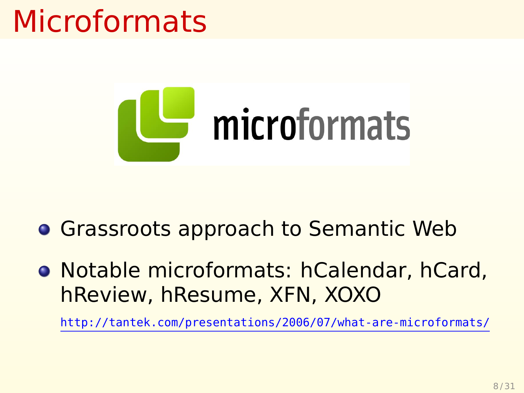### Microformats



- **Grassroots approach to Semantic Web**
- Notable microformats: hCalendar, hCard, hReview, hResume, XFN, XOXO

<http://tantek.com/presentations/2006/07/what-are-microformats/>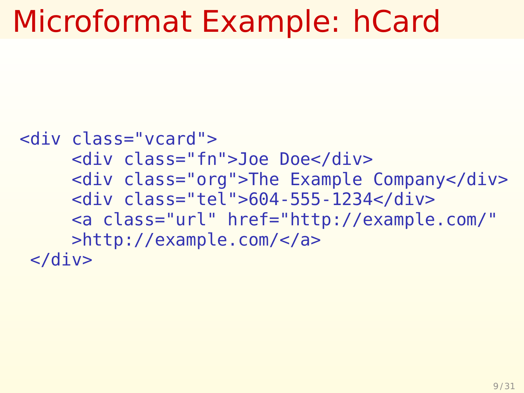### Microformat Example: hCard

```
<div class="vcard">
     <div class="fn">Joe Doe</div>
     <div class="org">The Example Company</div>
     <div class="tel">604-555-1234</div>
     <a class="url" href="http://example.com/"
     >http://example.com/</a>
 \langlediv>
```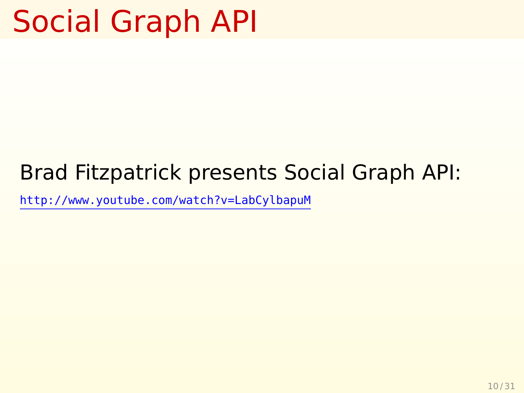### Social Graph API

#### Brad Fitzpatrick presents Social Graph API:

<http://www.youtube.com/watch?v=LabCylbapuM>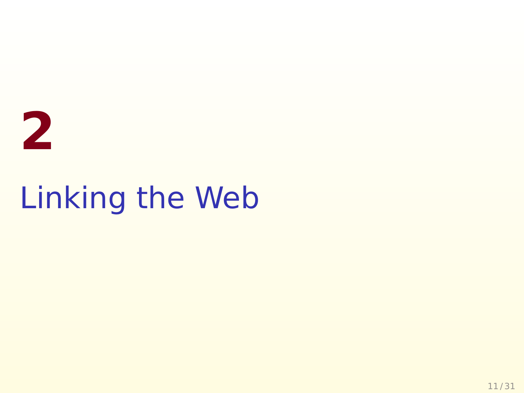# <span id="page-15-0"></span>**2** Linking the Web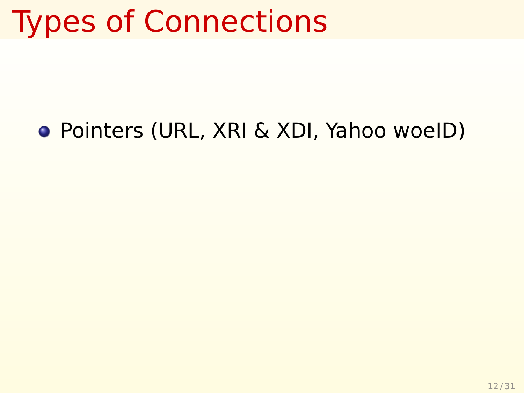### Types of Connections

#### **• Pointers (URL, XRI & XDI, Yahoo woelD)**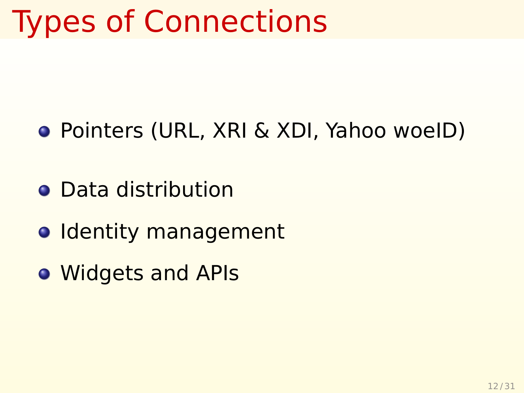### Types of Connections

- **Pointers (URL, XRI & XDI, Yahoo woelD)**
- **Data distribution**
- o Identity management
- Widgets and APIs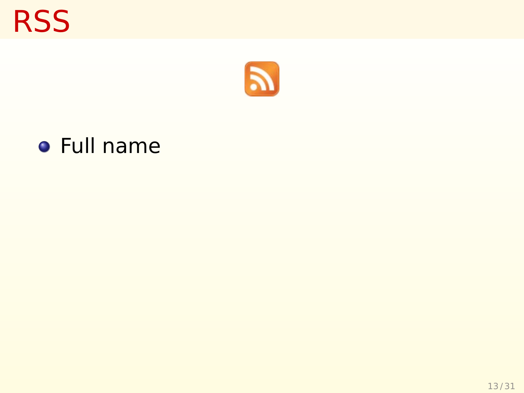**RSS** 

<span id="page-18-0"></span>

#### Full name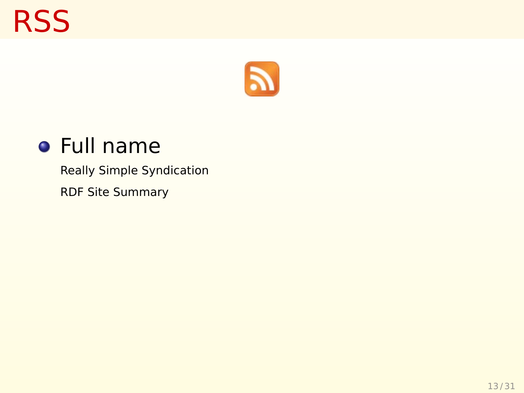### **RSS**



#### Full name

Really Simple Syndication RDF Site Summary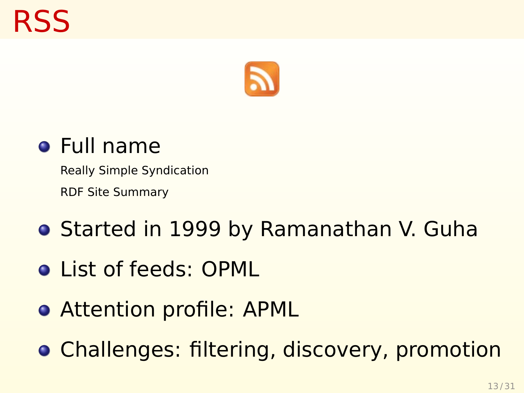### RSS



#### Full name

Really Simple Syndication RDF Site Summary

- **Started in 1999 by Ramanathan V. Guha**
- List of feeds: OPML
- **•** Attention profile: APML
- **Challenges: filtering, discovery, promotion**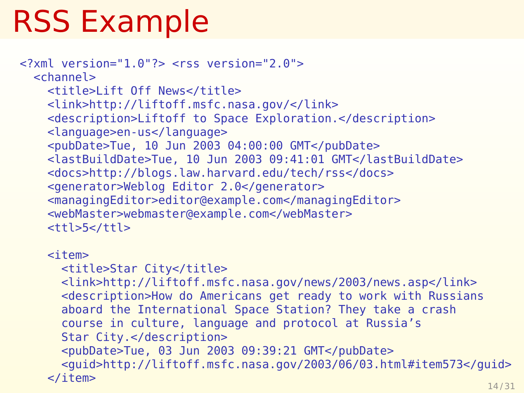## RSS Example

```
<?xml version="1.0"?> <rss version="2.0">
  <channel>
    <title>Lift Off News</title>
    <link>http://liftoff.msfc.nasa.gov/</link>
    <description>Liftoff to Space Exploration.</description>
    <language>en-us</language>
    <pubDate>Tue, 10 Jun 2003 04:00:00 GMT</pubDate>
    <lastBuildDate>Tue, 10 Jun 2003 09:41:01 GMT</lastBuildDate>
    <docs>http://blogs.law.harvard.edu/tech/rss</docs>
    <generator>Weblog Editor 2.0</generator>
    <managingEditor>editor@example.com</managingEditor>
    <webMaster>webmaster@example.com</webMaster>
    <ttl>5</ttl>
```

```
<item>
  <title>Star City</title>
  <link>http://liftoff.msfc.nasa.gov/news/2003/news.asp</link>
  <description>How do Americans get ready to work with Russians
  aboard the International Space Station? They take a crash
  course in culture, language and protocol at Russia's
  Star City.</description>
  <pubDate>Tue, 03 Jun 2003 09:39:21 GMT</pubDate>
  <guid>http://liftoff.msfc.nasa.gov/2003/06/03.html#item573</guid>
</item>
```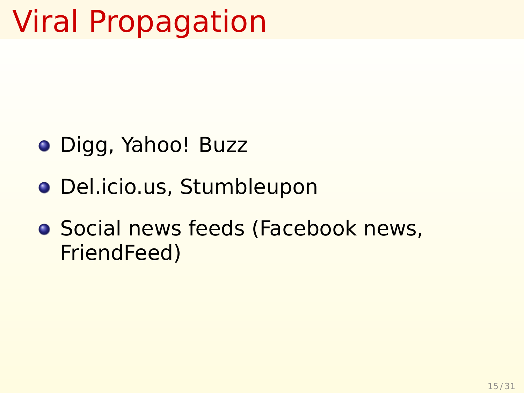### Viral Propagation

- Digg, Yahoo! Buzz
- Del.icio.us, Stumbleupon
- **Social news feeds (Facebook news,** FriendFeed)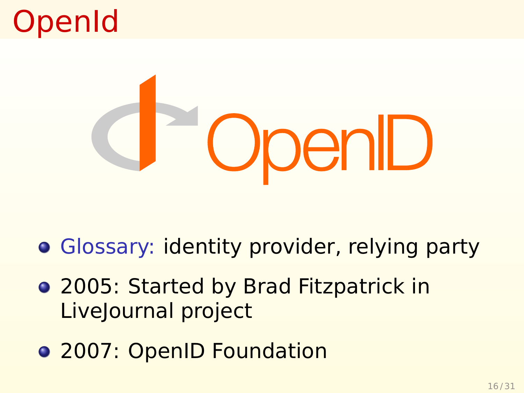### OpenId



- **Glossary: identity provider, relying party**
- 2005: Started by Brad Fitzpatrick in LiveJournal project
- <span id="page-23-0"></span>**• 2007: OpenID Foundation**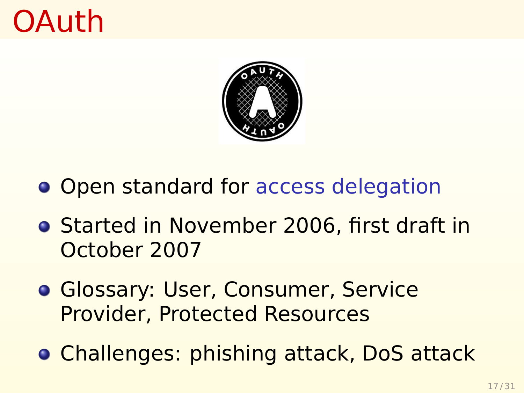### OAuth



- **Open standard for access delegation**
- **Started in November 2006, first draft in** October 2007
- **Glossary: User, Consumer, Service** Provider, Protected Resources
- **Challenges: phishing attack, DoS attack**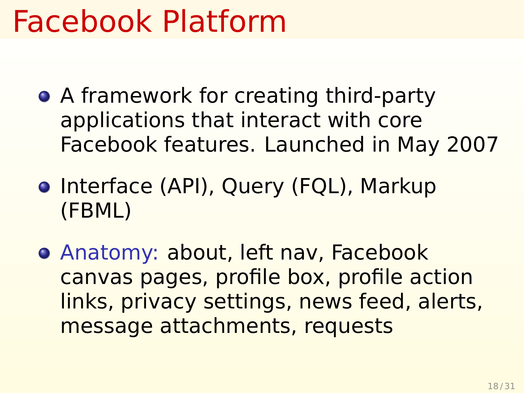### Facebook Platform

- A framework for creating third-party applications that interact with core Facebook features. Launched in May 2007
- **•** Interface (API), Query (FQL), Markup (FBML)
- <span id="page-25-0"></span>Anatomy: about, left nav, Facebook canvas pages, profile box, profile action links, privacy settings, news feed, alerts, message attachments, requests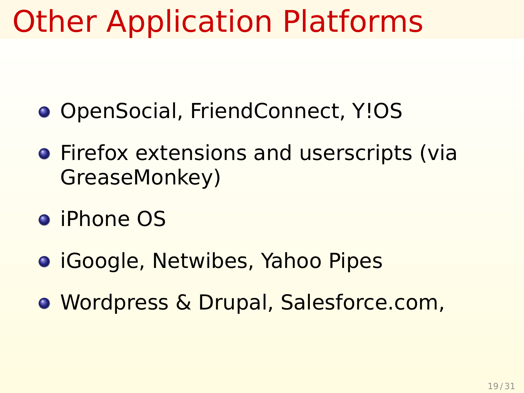### Other Application Platforms

- OpenSocial, FriendConnect, Y!OS
- **•** Firefox extensions and userscripts (via GreaseMonkey)
- iPhone OS
- **iGoogle, Netwibes, Yahoo Pipes**
- Wordpress & Drupal, Salesforce.com,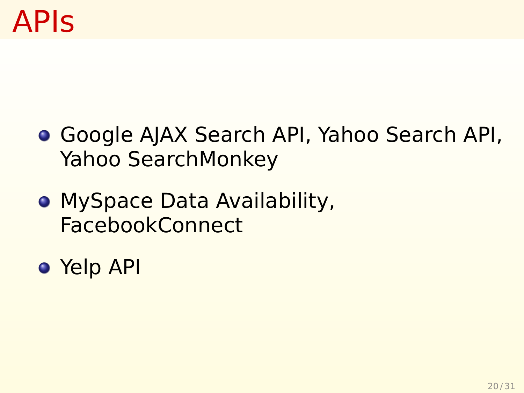- Google AJAX Search API, Yahoo Search API, Yahoo SearchMonkey
- **MySpace Data Availability,** FacebookConnect
- Yelp API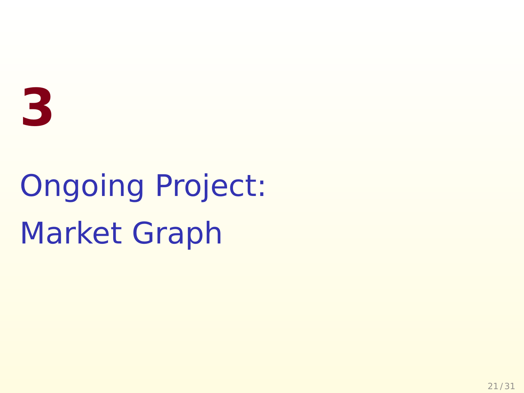

# <span id="page-28-0"></span>Ongoing Project: Market Graph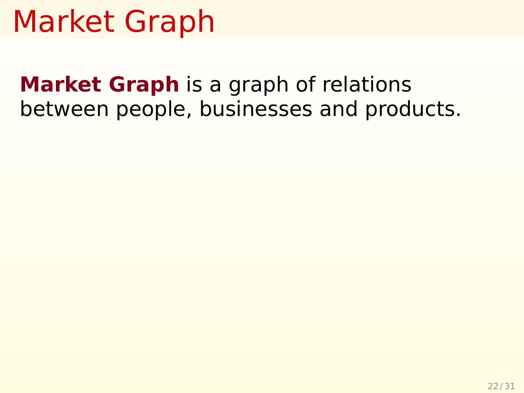### Market Graph

**Market Graph** is a graph of relations between people, businesses and products.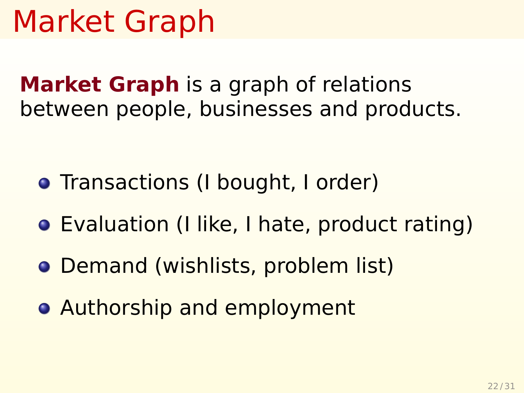### Market Graph

**Market Graph** is a graph of relations between people, businesses and products.

- **Transactions (I bought, I order)**
- Evaluation (I like, I hate, product rating)
- Demand (wishlists, problem list)
- **Authorship and employment**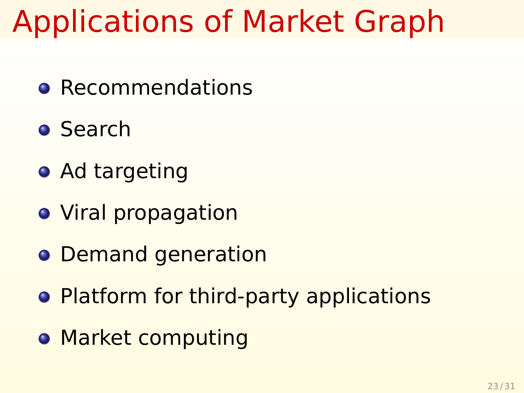### Applications of Market Graph

- **e** Recommendations
- Search
- **•** Ad targeting
- **•** Viral propagation
- **•** Demand generation
- **Platform for third-party applications**
- **Market computing**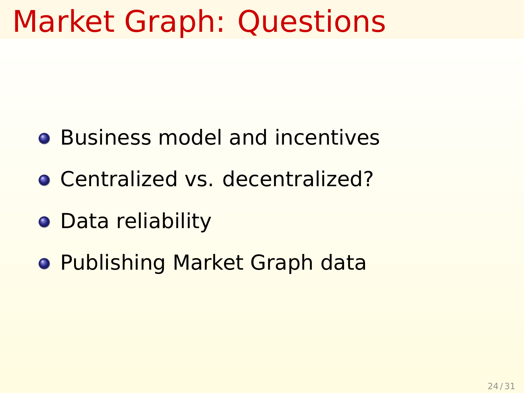### Market Graph: Questions

- **Business model and incentives**
- Centralized vs. decentralized?
- **•** Data reliability
- Publishing Market Graph data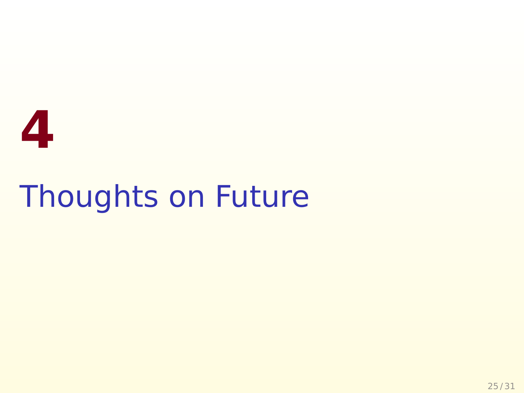# <span id="page-33-0"></span>**4** Thoughts on Future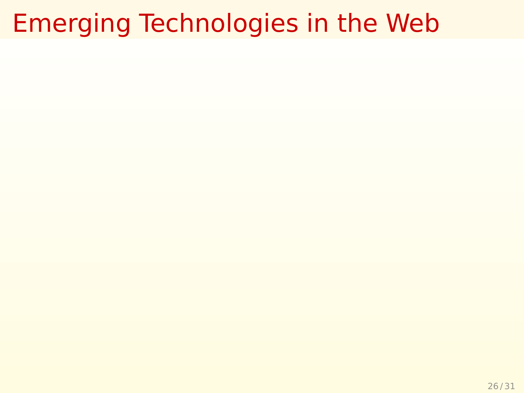### Emerging Technologies in the Web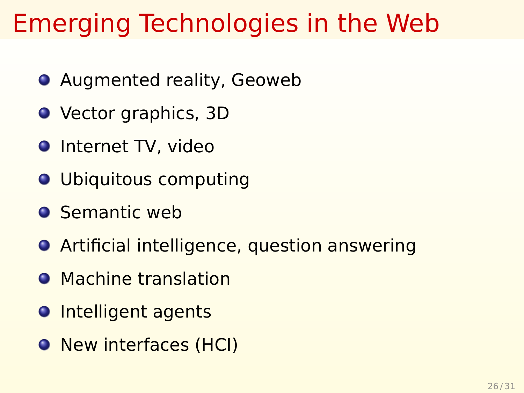### Emerging Technologies in the Web

- **O** Augmented reality, Geoweb
- Vector graphics, 3D
- **O** Internet TV, video
- **O** Ubiquitous computing
- **O** Semantic web
- **•** Artificial intelligence, question answering
- **O** Machine translation
- **O** Intelligent agents
- **O** New interfaces (HCI)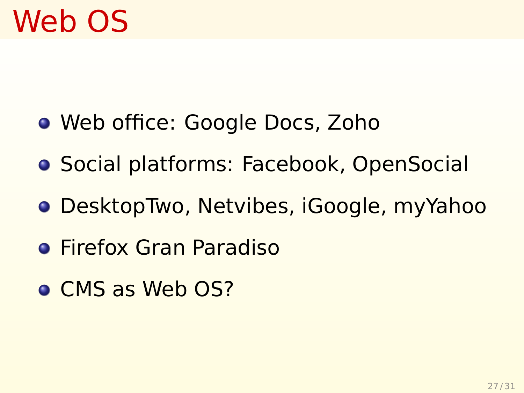- Web office: Google Docs, Zoho
- **Social platforms: Facebook, OpenSocial**
- DesktopTwo, Netvibes, iGoogle, myYahoo
- **Firefox Gran Paradiso**
- **O** CMS as Web OS?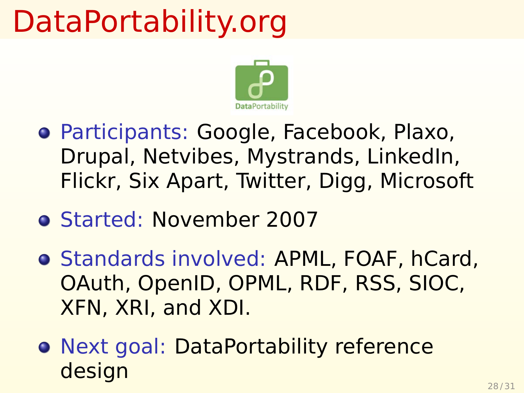### DataPortability.org



- Participants: Google, Facebook, Plaxo, Drupal, Netvibes, Mystrands, LinkedIn, Flickr, Six Apart, Twitter, Digg, Microsoft
- Started: November 2007
- **o** Standards involved: APML, FOAF, hCard, OAuth, OpenID, OPML, RDF, RSS, SIOC, XFN, XRI, and XDI.
- **Next goal: DataPortability reference** design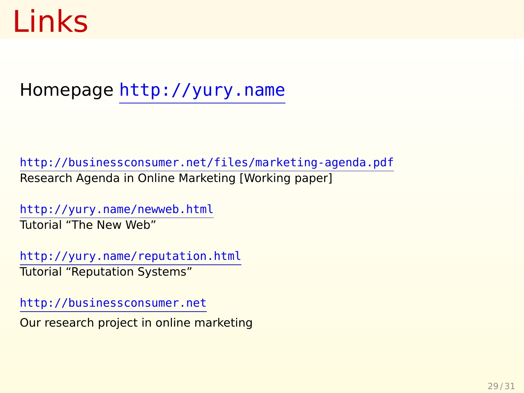### Links

#### Homepage <http://yury.name>

<http://businessconsumer.net/files/marketing-agenda.pdf> Research Agenda in Online Marketing [Working paper]

<http://yury.name/newweb.html> Tutorial "The New Web"

<http://yury.name/reputation.html> Tutorial "Reputation Systems"

<http://businessconsumer.net>

Our research project in online marketing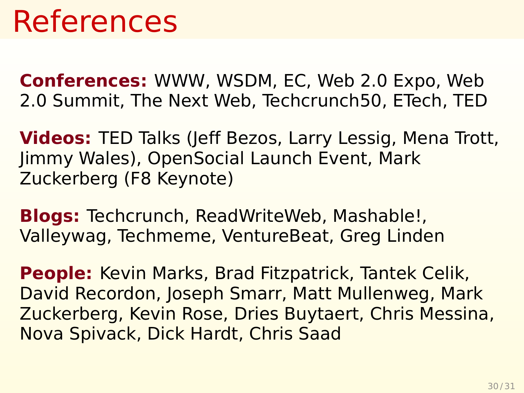### References

**Conferences:** WWW, WSDM, EC, Web 2.0 Expo, Web 2.0 Summit, The Next Web, Techcrunch50, ETech, TED

**Videos:** TED Talks (Jeff Bezos, Larry Lessig, Mena Trott, Jimmy Wales), OpenSocial Launch Event, Mark Zuckerberg (F8 Keynote)

**Blogs:** Techcrunch, ReadWriteWeb, Mashable!, Valleywag, Techmeme, VentureBeat, Greg Linden

**People:** Kevin Marks, Brad Fitzpatrick, Tantek Celik, David Recordon, Joseph Smarr, Matt Mullenweg, Mark Zuckerberg, Kevin Rose, Dries Buytaert, Chris Messina, Nova Spivack, Dick Hardt, Chris Saad